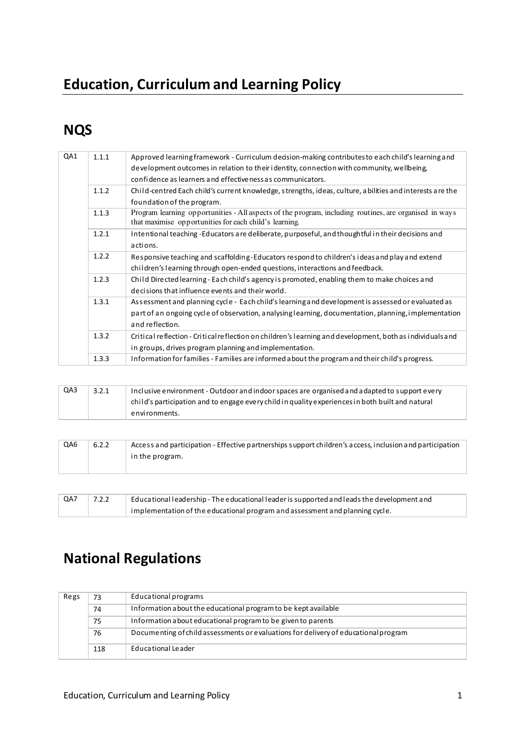# **Education, Curriculum and Learning Policy**

## **NQS**

| QA1 | 1.1.1 | Approved learning framework - Curriculum decision-making contributes to each child's learning and                                                                |
|-----|-------|------------------------------------------------------------------------------------------------------------------------------------------------------------------|
|     |       | development outcomes in relation to their identity, connection with community, wellbeing,                                                                        |
|     |       | confidence as learners and effectiveness as communicators.                                                                                                       |
|     | 1.1.2 | Child-centred Each child's current knowledge, strengths, ideas, culture, a bilities and interests are the                                                        |
|     |       | foundation of the program.                                                                                                                                       |
|     | 1.1.3 | Program learning opportunities - All aspects of the program, including routines, are organised in ways<br>that maximise opportunities for each child's learning. |
|     | 1.2.1 | Intentional teaching -Educators are deliberate, purposeful, and thoughtful in their decisions and                                                                |
|     |       | actions.                                                                                                                                                         |
|     | 1.2.2 | Responsive teaching and scaffolding-Educators respond to children's ideas and play and extend                                                                    |
|     |       | children's learning through open-ended questions, interactions and feedback.                                                                                     |
|     | 1.2.3 | Child Directed learning - Each child's agency is promoted, enabling them to make choices and                                                                     |
|     |       | decisions that influence events and their world.                                                                                                                 |
|     | 1.3.1 | As sessment and planning cycle - Each child's learning and development is assessed or evaluated as                                                               |
|     |       | part of an ongoing cycle of observation, analysing learning, documentation, planning, implementation                                                             |
|     |       | and reflection.                                                                                                                                                  |
|     | 1.3.2 | Critical reflection - Critical reflection on children's learning and development, both as individuals and                                                        |
|     |       | in groups, drives program planning and implementation.                                                                                                           |
|     | 1.3.3 | Information for families - Families are informed a bout the program and their child's progress.                                                                  |
|     |       |                                                                                                                                                                  |

| QA3 | 3.2.1 | Inclusive environment - Outdoor and indoor spaces are organised and adapted to support every     |
|-----|-------|--------------------------------------------------------------------------------------------------|
|     |       | child's participation and to engage every child in quality experiences in both built and natural |
|     |       | environments.                                                                                    |

| QA6 | 6.2.2 | Access and participation - Effective partnerships support children's access, inclusion and participation |
|-----|-------|----------------------------------------------------------------------------------------------------------|
|     |       | in the program.                                                                                          |
|     |       |                                                                                                          |

| QA7 | 7.2.2 | Educational leadership - The educational leader is supported and leads the development and |
|-----|-------|--------------------------------------------------------------------------------------------|
|     |       | implementation of the educational program and assessment and planning cycle.               |

## **National Regulations**

| Regs | 73  | Educational programs                                                                |
|------|-----|-------------------------------------------------------------------------------------|
|      | 74  | Information about the educational program to be kept available                      |
|      | 75  | Information a bout educational program to be given to parents                       |
|      | 76  | Documenting of child assessments or evaluations for delivery of educational program |
|      | 118 | Educational Leader                                                                  |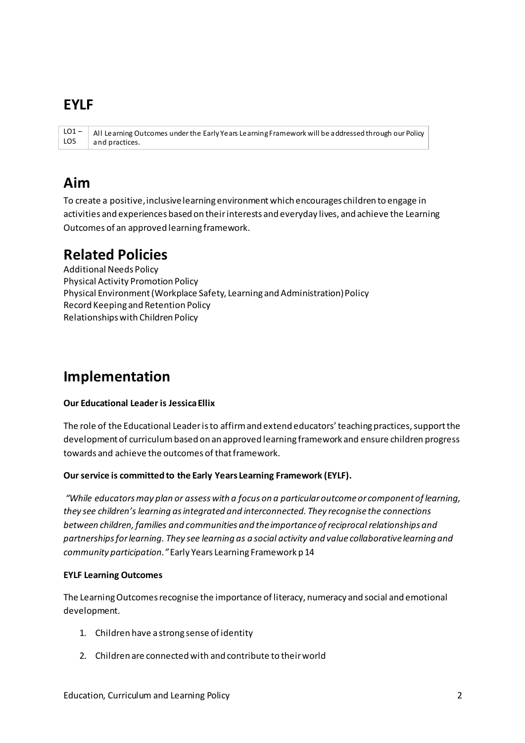### **EYLF**

 $LO1 -$ All Learning Outcomes under the Early Years Learning Framework will be addressed through our Policy LO<sub>5</sub> and practices.

## Aim

To create a positive, inclusive learning environment which encourages children to engage in activities and experiences based on their interests and everyday lives, and achieve the Learning Outcomes of an approved learning framework.

### **Related Policies**

**Additional Needs Policy Physical Activity Promotion Policy** Physical Environment (Workplace Safety, Learning and Administration) Policy Record Keeping and Retention Policy Relationships with Children Policy

## Implementation

#### **Our Educational Leader is Jessica Ellix**

The role of the Educational Leader is to affirm and extend educators' teaching practices, support the development of curriculum based on an approved learning framework and ensure children progress towards and achieve the outcomes of that framework.

#### Our service is committed to the Early Years Learning Framework (EYLF).

"While educators may plan or assess with a focus on a particular outcome or component of learning, they see children's learning as integrated and interconnected. They recognise the connections between children, families and communities and the importance of reciprocal relationships and partnerships for learning. They see learning as a social activity and value collaborative learning and community participation." Early Years Learning Framework p 14

#### **EYLF Learning Outcomes**

The Learning Outcomes recognise the importance of literacy, numeracy and social and emotional development.

- 1. Children have a strong sense of identity
- 2. Children are connected with and contribute to their world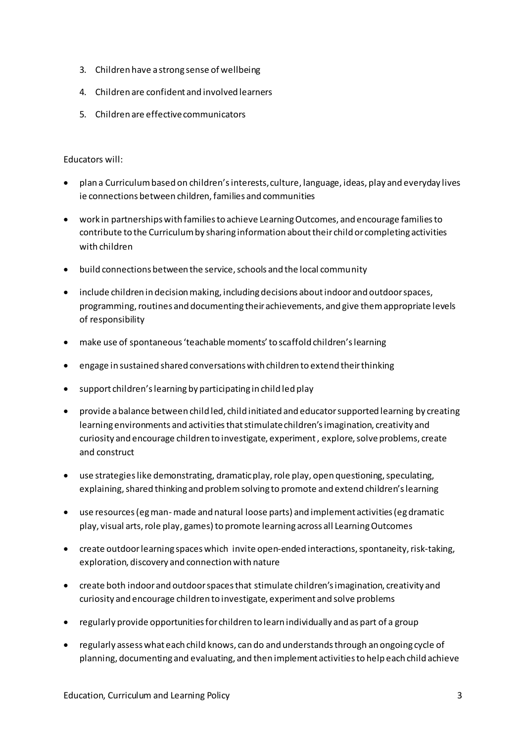- 3. Children have a strong sense of wellbeing
- 4. Children are confident and involved learners
- 5. Children are effective communicators

#### Educators will:

- plan a Curriculum based on children's interests, culture, language, ideas, play and everyday lives ie connections between children, families and communities
- work in partnerships with families to achieve Learning Outcomes, and encourage families to contribute to the Curriculum by sharing information about their child or completing activities with children
- build connections between the service, schools and the local community
- include children in decision making, including decisions about indoor and outdoor spaces, programming, routines and documenting their achievements, and give them appropriate levels of responsibility
- make use of spontaneous 'teachable moments' to scaffold children's learning
- engage in sustained shared conversations with children to extend their thinking
- support children's learning by participating in child led play
- provide a balance between child led, child initiated and educator supported learning by creating learning environments and activities that stimulate children's imagination, creativity and curiosity and encourage children to investigate, experiment , explore, solve problems, create and construct
- use strategies like demonstrating, dramatic play, role play, open questioning, speculating, explaining, shared thinking and problem solving to promote and extend children's learning
- use resources (eg man- made and natural loose parts) and implement activities (eg dramatic play, visual arts, role play, games) to promote learning across all Learning Outcomes
- create outdoor learning spaces which invite open-ended interactions, spontaneity, risk-taking, exploration, discovery and connection with nature
- create both indoor and outdoor spaces that stimulate children's imagination, creativity and curiosity and encourage children to investigate, experiment and solve problems
- regularly provide opportunities for children to learn individually and as part of a group
- regularly assess what each child knows, can do and understands through an ongoing cycle of planning, documenting and evaluating, and then implement activities to help each child achieve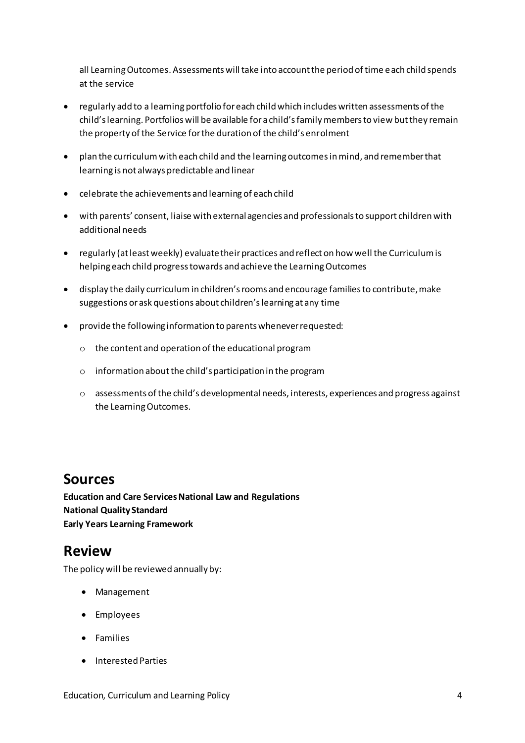all Learning Outcomes. Assessments will take into account the period of time each child spends at the service

- regularly add to a learning portfolio for each child which includes written assessments of the child's learning. Portfolios will be available for a child's family members to view but they remain the property of the Service for the duration of the child's enrolment
- plan the curriculum with each child and the learning outcomes in mind, and remember that learning is not always predictable and linear
- celebrate the achievements and learning of each child
- with parents' consent, liaise with external agencies and professionals to support children with additional needs
- regularly (at least weekly) evaluate their practices and reflect on how well the Curriculum is helping each child progress towards and achieve the Learning Outcomes
- display the daily curriculum in children's rooms and encourage families to contribute, make suggestions or ask questions about children's learning at any time
- provide the following information to parents whenever requested:
	- o the content and operation of the educational program
	- $\circ$  information about the child's participation in the program
	- o assessments of the child's developmental needs, interests, experiences and progress against the Learning Outcomes.

### **Sources**

**Education and Care Services National Law and Regulations National Quality Standard Early Years Learning Framework** 

### **Review**

The policy will be reviewed annually by:

- Management
- Employees
- Families
- Interested Parties